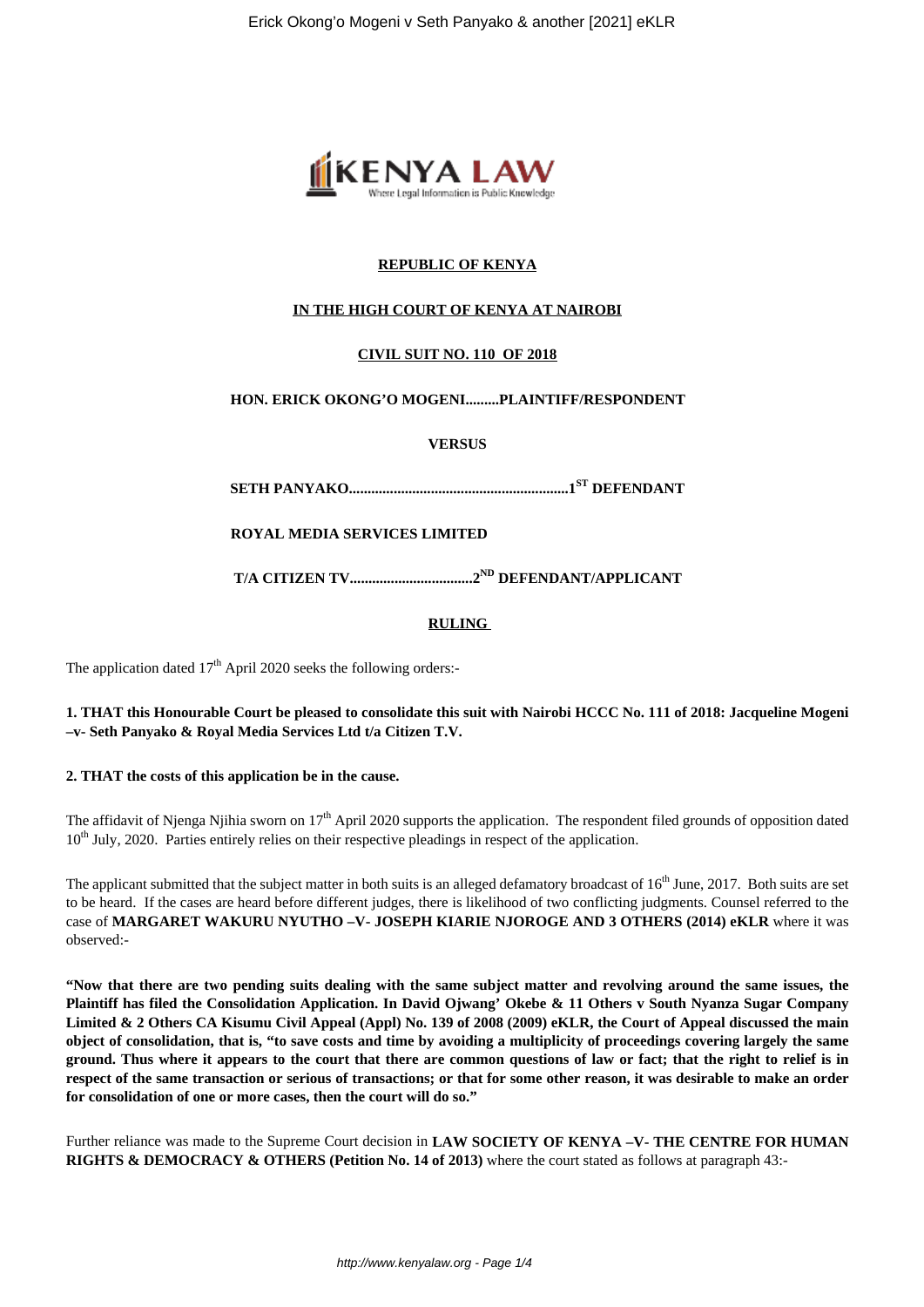

# **REPUBLIC OF KENYA**

## **IN THE HIGH COURT OF KENYA AT NAIROBI**

## **CIVIL SUIT NO. 110 OF 2018**

#### **HON. ERICK OKONG'O MOGENI.........PLAINTIFF/RESPONDENT**

**VERSUS**

**SETH PANYAKO...........................................................1ST DEFENDANT**

**ROYAL MEDIA SERVICES LIMITED**

**T/A CITIZEN TV.................................2ND DEFENDANT/APPLICANT**

#### **RULING**

The application dated  $17<sup>th</sup>$  April 2020 seeks the following orders:-

**1. THAT this Honourable Court be pleased to consolidate this suit with Nairobi HCCC No. 111 of 2018: Jacqueline Mogeni –v- Seth Panyako & Royal Media Services Ltd t/a Citizen T.V.**

**2. THAT the costs of this application be in the cause.** 

The affidavit of Njenga Njihia sworn on 17<sup>th</sup> April 2020 supports the application. The respondent filed grounds of opposition dated 10<sup>th</sup> July, 2020. Parties entirely relies on their respective pleadings in respect of the application.

The applicant submitted that the subject matter in both suits is an alleged defamatory broadcast of  $16<sup>th</sup>$  June, 2017. Both suits are set to be heard. If the cases are heard before different judges, there is likelihood of two conflicting judgments. Counsel referred to the case of **MARGARET WAKURU NYUTHO –V- JOSEPH KIARIE NJOROGE AND 3 OTHERS (2014) eKLR** where it was observed:-

**"Now that there are two pending suits dealing with the same subject matter and revolving around the same issues, the Plaintiff has filed the Consolidation Application. In David Ojwang' Okebe & 11 Others v South Nyanza Sugar Company Limited & 2 Others CA Kisumu Civil Appeal (Appl) No. 139 of 2008 (2009) eKLR, the Court of Appeal discussed the main object of consolidation, that is, "to save costs and time by avoiding a multiplicity of proceedings covering largely the same ground. Thus where it appears to the court that there are common questions of law or fact; that the right to relief is in respect of the same transaction or serious of transactions; or that for some other reason, it was desirable to make an order for consolidation of one or more cases, then the court will do so."**

Further reliance was made to the Supreme Court decision in **LAW SOCIETY OF KENYA –V- THE CENTRE FOR HUMAN RIGHTS & DEMOCRACY & OTHERS (Petition No. 14 of 2013)** where the court stated as follows at paragraph 43:-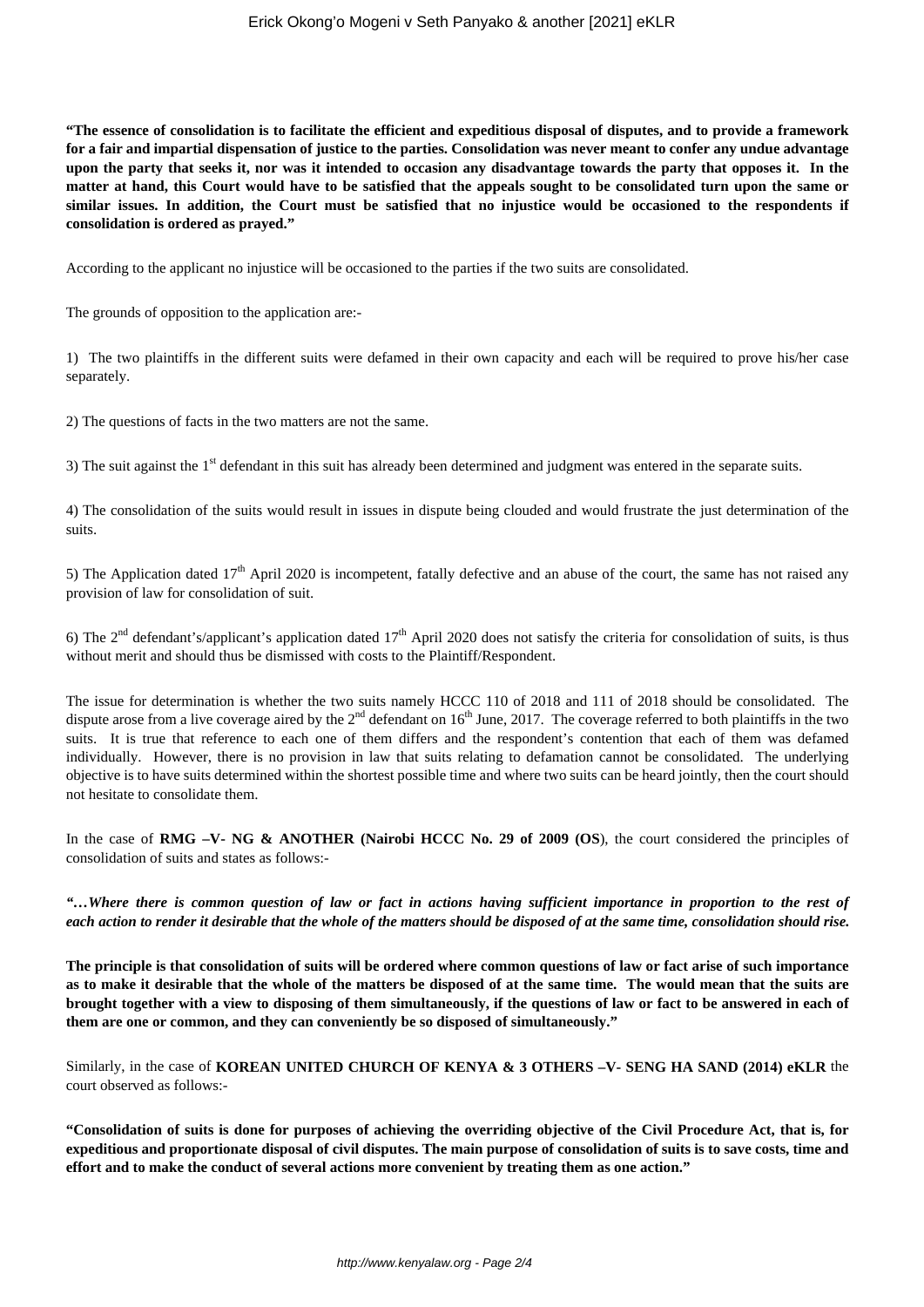**"The essence of consolidation is to facilitate the efficient and expeditious disposal of disputes, and to provide a framework for a fair and impartial dispensation of justice to the parties. Consolidation was never meant to confer any undue advantage upon the party that seeks it, nor was it intended to occasion any disadvantage towards the party that opposes it. In the matter at hand, this Court would have to be satisfied that the appeals sought to be consolidated turn upon the same or similar issues. In addition, the Court must be satisfied that no injustice would be occasioned to the respondents if consolidation is ordered as prayed."**

According to the applicant no injustice will be occasioned to the parties if the two suits are consolidated.

The grounds of opposition to the application are:-

1) The two plaintiffs in the different suits were defamed in their own capacity and each will be required to prove his/her case separately.

2) The questions of facts in the two matters are not the same.

3) The suit against the 1<sup>st</sup> defendant in this suit has already been determined and judgment was entered in the separate suits.

4) The consolidation of the suits would result in issues in dispute being clouded and would frustrate the just determination of the suits.

5) The Application dated  $17<sup>th</sup>$  April 2020 is incompetent, fatally defective and an abuse of the court, the same has not raised any provision of law for consolidation of suit.

6) The  $2<sup>nd</sup>$  defendant's/applicant's application dated  $17<sup>th</sup>$  April 2020 does not satisfy the criteria for consolidation of suits, is thus without merit and should thus be dismissed with costs to the Plaintiff/Respondent.

The issue for determination is whether the two suits namely HCCC 110 of 2018 and 111 of 2018 should be consolidated. The dispute arose from a live coverage aired by the  $2<sup>nd</sup>$  defendant on  $16<sup>th</sup>$  June, 2017. The coverage referred to both plaintiffs in the two suits. It is true that reference to each one of them differs and the respondent's contention that each of them was defamed individually. However, there is no provision in law that suits relating to defamation cannot be consolidated. The underlying objective is to have suits determined within the shortest possible time and where two suits can be heard jointly, then the court should not hesitate to consolidate them.

In the case of **RMG** –V- NG & ANOTHER (Nairobi HCCC No. 29 of 2009 (OS), the court considered the principles of consolidation of suits and states as follows:-

*"…Where there is common question of law or fact in actions having sufficient importance in proportion to the rest of each action to render it desirable that the whole of the matters should be disposed of at the same time, consolidation should rise.*

**The principle is that consolidation of suits will be ordered where common questions of law or fact arise of such importance as to make it desirable that the whole of the matters be disposed of at the same time. The would mean that the suits are brought together with a view to disposing of them simultaneously, if the questions of law or fact to be answered in each of them are one or common, and they can conveniently be so disposed of simultaneously."**

Similarly, in the case of **KOREAN UNITED CHURCH OF KENYA & 3 OTHERS –V- SENG HA SAND (2014) eKLR** the court observed as follows:-

**"Consolidation of suits is done for purposes of achieving the overriding objective of the Civil Procedure Act, that is, for expeditious and proportionate disposal of civil disputes. The main purpose of consolidation of suits is to save costs, time and effort and to make the conduct of several actions more convenient by treating them as one action."**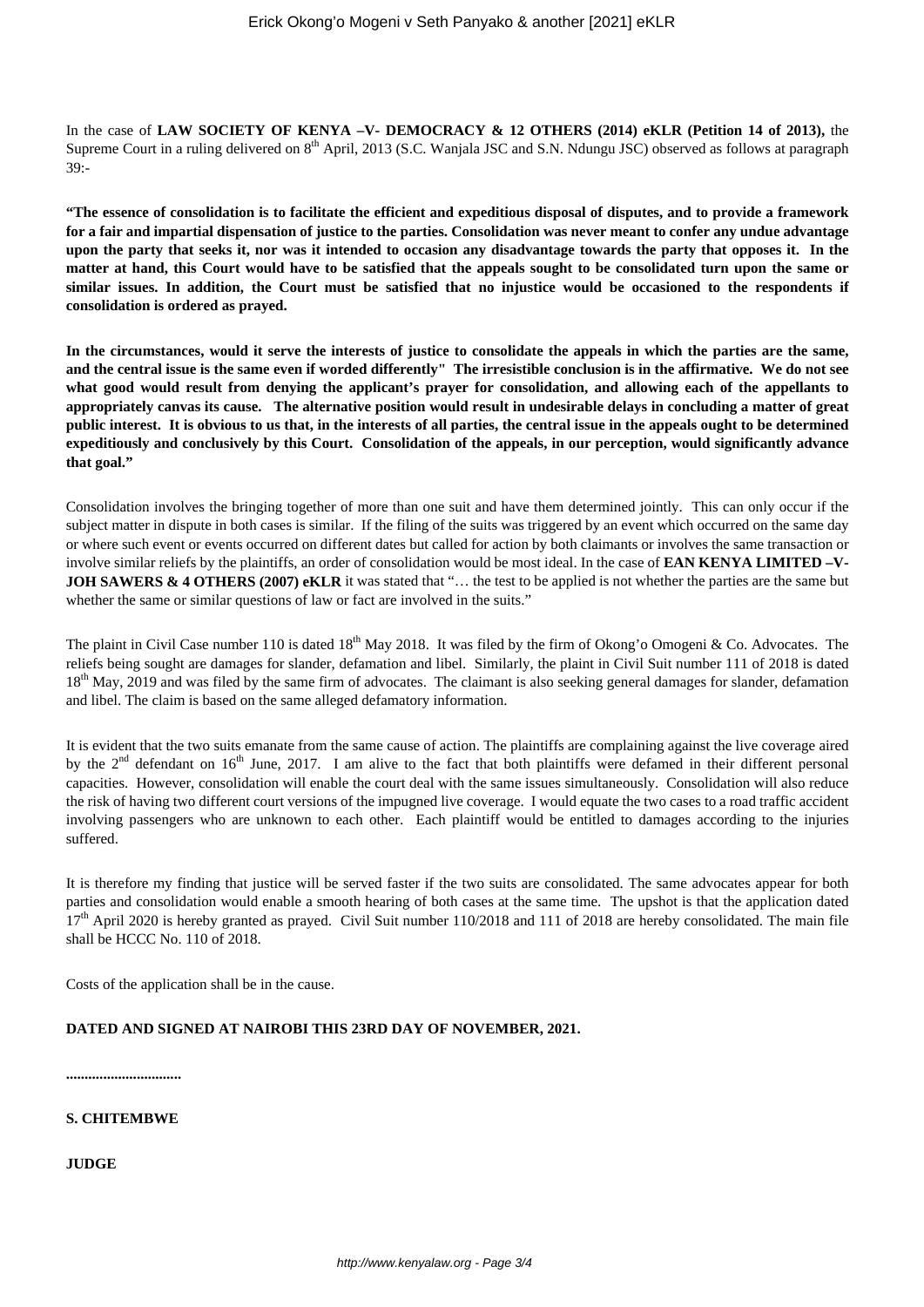In the case of LAW SOCIETY OF KENYA -V- DEMOCRACY & 12 OTHERS (2014) eKLR (Petition 14 of 2013), the Supreme Court in a ruling delivered on 8<sup>th</sup> April, 2013 (S.C. Wanjala JSC and S.N. Ndungu JSC) observed as follows at paragraph  $39: -$ 

**"The essence of consolidation is to facilitate the efficient and expeditious disposal of disputes, and to provide a framework for a fair and impartial dispensation of justice to the parties. Consolidation was never meant to confer any undue advantage upon the party that seeks it, nor was it intended to occasion any disadvantage towards the party that opposes it. In the matter at hand, this Court would have to be satisfied that the appeals sought to be consolidated turn upon the same or similar issues. In addition, the Court must be satisfied that no injustice would be occasioned to the respondents if consolidation is ordered as prayed.**

**In the circumstances, would it serve the interests of justice to consolidate the appeals in which the parties are the same, and the central issue is the same even if worded differently" The irresistible conclusion is in the affirmative. We do not see what good would result from denying the applicant's prayer for consolidation, and allowing each of the appellants to appropriately canvas its cause. The alternative position would result in undesirable delays in concluding a matter of great public interest. It is obvious to us that, in the interests of all parties, the central issue in the appeals ought to be determined expeditiously and conclusively by this Court. Consolidation of the appeals, in our perception, would significantly advance that goal."**

Consolidation involves the bringing together of more than one suit and have them determined jointly. This can only occur if the subject matter in dispute in both cases is similar. If the filing of the suits was triggered by an event which occurred on the same day or where such event or events occurred on different dates but called for action by both claimants or involves the same transaction or involve similar reliefs by the plaintiffs, an order of consolidation would be most ideal. In the case of **EAN KENYA LIMITED –V-JOH SAWERS & 4 OTHERS (2007) eKLR** it was stated that "... the test to be applied is not whether the parties are the same but whether the same or similar questions of law or fact are involved in the suits."

The plaint in Civil Case number 110 is dated 18<sup>th</sup> May 2018. It was filed by the firm of Okong'o Omogeni & Co. Advocates. The reliefs being sought are damages for slander, defamation and libel. Similarly, the plaint in Civil Suit number 111 of 2018 is dated 18<sup>th</sup> May, 2019 and was filed by the same firm of advocates. The claimant is also seeking general damages for slander, defamation and libel. The claim is based on the same alleged defamatory information.

It is evident that the two suits emanate from the same cause of action. The plaintiffs are complaining against the live coverage aired by the  $2<sup>nd</sup>$  defendant on  $16<sup>th</sup>$  June, 2017. I am alive to the fact that both plaintiffs were defamed in their different personal capacities. However, consolidation will enable the court deal with the same issues simultaneously. Consolidation will also reduce the risk of having two different court versions of the impugned live coverage. I would equate the two cases to a road traffic accident involving passengers who are unknown to each other. Each plaintiff would be entitled to damages according to the injuries suffered.

It is therefore my finding that justice will be served faster if the two suits are consolidated. The same advocates appear for both parties and consolidation would enable a smooth hearing of both cases at the same time. The upshot is that the application dated 17<sup>th</sup> April 2020 is hereby granted as prayed. Civil Suit number 110/2018 and 111 of 2018 are hereby consolidated. The main file shall be HCCC No. 110 of 2018.

Costs of the application shall be in the cause.

### **DATED AND SIGNED AT NAIROBI THIS 23RD DAY OF NOVEMBER, 2021.**

**...............................**

**S. CHITEMBWE**

**JUDGE**